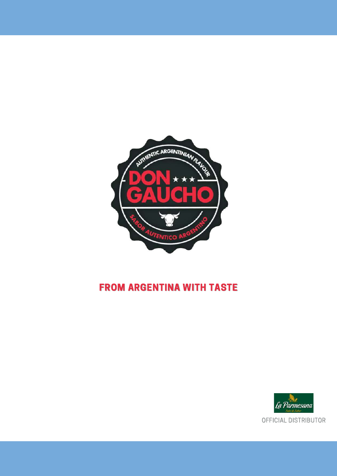

### FROM ARGENTINA WITH TASTE

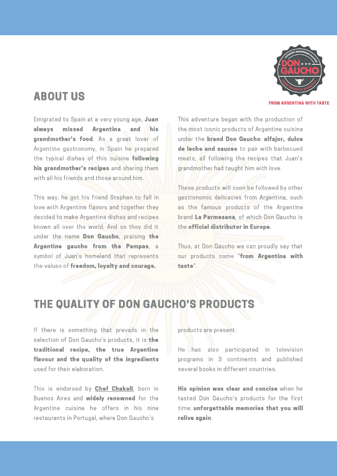FROM ARGENTINA WITH TASTE

Emigrated to Spain at a very young age, Juan always missed Argentina and his grandmother's food. As a great lover of Argentine gastronomy, in Spain he prepared the typical dishes of this cuisine following his grandmother's recipes and sharing them with all his friends and those around him.

ABOUT US

This way, he got his friend Stephen to fall in love with Argentine flavors and together they decided to make Argentine dishes and recipes known all over the world. And so they did it under the name Don Gaucho, praising the Argentine gaucho from the Pampas, a symbol of Juan's homeland that represents the values of freedom, loyalty and courage.

This adventure began with the production of the most iconic products of Argentine cuisine under the brand Don Gaucho: alfajor, dulce de leche and sauces to pair with barbecued meats, all following the recipes that Juan's grandmother had taught him with love.

These products will soon be followed by other gastronomic delicacies from Argentina, such as the famous products of the Argentine brand La Parmesana, of which Don Gaucho is the official distributor in Europe.

Thus, at Don Gaucho we can proudly say that our products come "from Argentina with taste".

### THE QUALITY OF DON GAUCHO'S PRODUCTS

If there is something that prevails in the selection of Don Gaucho's products, it is the traditional recipe, the true Argentine flavour and the quality of the ingredients used for their elaboration.

This is endorsed by **Chef [Chakall](https://chakall.com/)**, born in Buenos Aires and widely renowned for the Argentine cuisine he offers in his nine restaurants in Portugal, where Don Gaucho's

products are present.

He has also participated in television programs in 3 continents and published several books in different countries.

His opinion was clear and concise when he tasted Don Gaucho's products for the first time: unforgettable memories that you will relive again.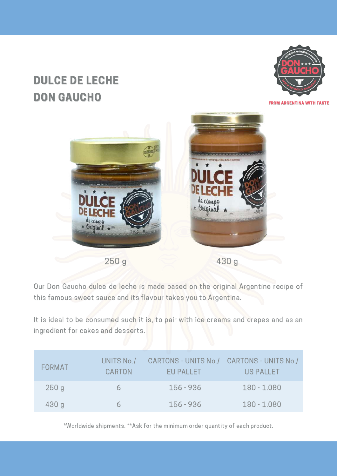# DULCE DE LECHE DON GAUCHO



FROM ARGENTINA WITH TASTE



Our Don Gaucho dulce de leche is made based on the original Argentine recipe of this famous sweet sauce and its flavour takes you to Argentina.

It is ideal to be consumed such it is, to pair with ice creams and crepes and as an ingredient for cakes and desserts.

| <b>FORMAT</b> | UNITS No./<br><b>CARTON</b> | CARTONS - UNITS No./ CARTONS - UNITS No./<br>EU PALLET | US PALLET     |
|---------------|-----------------------------|--------------------------------------------------------|---------------|
| 250g          | h.                          | 156 - 936                                              | $180 - 1.080$ |
| 430g          |                             | 156 - 936                                              | $180 - 1.080$ |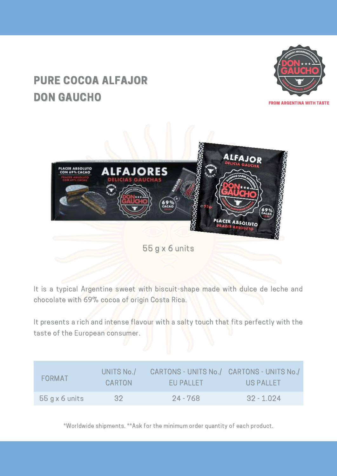# PURE COCOA ALFAJOR DON GAUCHO



**ALFAJOR ALFAJORES** LACER ABSOLUTO<br>CON 69% CACAO **PLACER ABSOLUTO** 

55 g x 6 units

It is a typical Argentine sweet with biscuit-shape made with dulce de leche and chocolate with 69% cocoa of origin Costa Rica.

It presents a rich and intense flavour with a salty touch that fits perfectly with the taste of the European consumer.

| <b>FORMAT</b>    | UNITS No./<br>CARTON | CARTONS - UNITS No./ CARTONS - UNITS No./<br>EU PALLET | <b>US PALLET</b> |
|------------------|----------------------|--------------------------------------------------------|------------------|
| $55 g x 6$ units | -32-                 | $24 - 768$                                             | $32 - 1.024$     |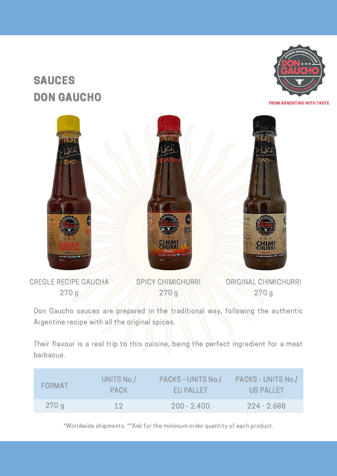# SAUCES DON GAUCHO





CREOLE RECIPE GAUCHA 270 g

SPICY CHIMICHURRI 270 g

ORIGINAL CHIMICHURRI 270 g

Don Gaucho sauces are prepared in the traditional way, following the authentic Argentine recipe with all the original spices.

Their flavour is a real trip to this cuisine, being the perfect ingredient for a meat barbacue.

| <b>FORMAT</b> | UNITS No./  | PACKS - UNITS No./ | PACKS - UNITS No./ |
|---------------|-------------|--------------------|--------------------|
|               | <b>PACK</b> | EU PALLET          | US PALLET          |
| 270g          | 12          | $200 - 2.400$      | $224 - 2.688$      |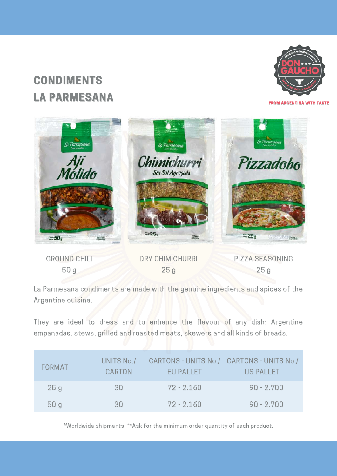# **CONDIMENTS** LA PARMESANA



FROM ARGENTINA WITH TASTE



La Parmesana condiments are made with the genuine ingredients and spices of the Argentine cuisine.

They are ideal to dress and to enhance the flavour of any dish: Argentine empanadas, stews, grilled and roasted meats, skewers and all kinds of breads.

| <b>FORMAT</b> | UNITS No./<br><b>CARTON</b> | CARTONS - UNITS No./ CARTONS - UNITS No./<br><b>EU PALLET</b> | US PALLET    |
|---------------|-----------------------------|---------------------------------------------------------------|--------------|
| 25g           | 30                          | $72 - 2.160$                                                  | $90 - 2.700$ |
| 50g           | 30.                         | $72 - 2.160$                                                  | $90 - 2.700$ |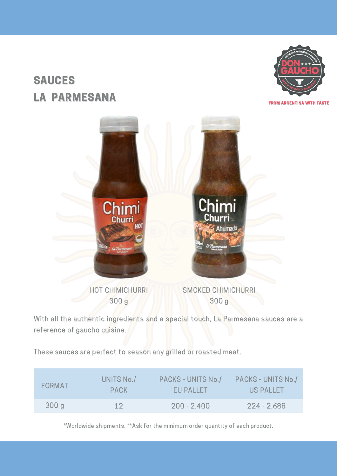# SAUCES LA PARMESANA





With all the authentic ingredients and a special touch, La Parmesana sauces are a reference of gaucho cuisine.

These sauces are perfect to season any grilled or roasted meat.

| <b>FORMAT</b> | UNITS No./  | PACKS - UNITS No./ | PACKS - UNITS No./ |
|---------------|-------------|--------------------|--------------------|
|               | <b>PACK</b> | EU PALLET          | US PALLET          |
| 300g          | 12          | $200 - 2.400$      | $224 - 2.688$      |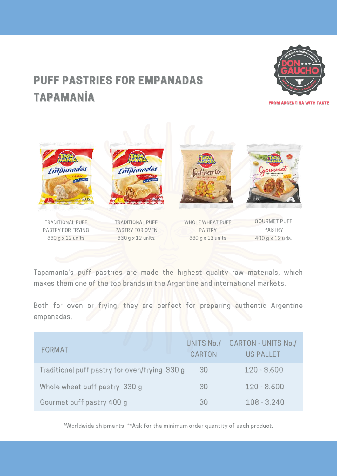# PUFF PASTRIES FOR EMPANADAS TAPAMANÍA



FROM ARGENTINA WITH TASTE



Tapamanía's puff pastries are made the highest quality raw materials, which makes them one of the top brands in the Argentine and international markets.

Both for oven or frying, they are perfect for preparing authentic Argentine empanadas.

| FORMAT                                        | UNITS No./<br><b>CARTON</b> | CARTON - UNITS No./<br><b>US PALLET</b> |
|-----------------------------------------------|-----------------------------|-----------------------------------------|
| Traditional puff pastry for oven/frying 330 g | 30                          | $120 - 3.600$                           |
| Whole wheat puff pastry 330 g                 | 30                          | $120 - 3.600$                           |
| Gourmet puff pastry 400 g                     | ЗŪ                          | $108 - 3.240$                           |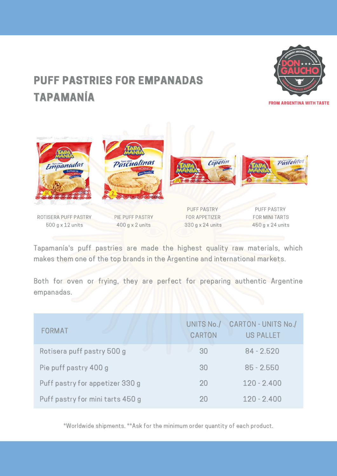# PUFF PASTRIES FOR EMPANADAS TAPAMANÍA



FROM ARGENTINA WITH TASTE



Tapamanía's puff pastries are made the highest quality raw materials, which makes them one of the top brands in the Argentine and international markets.

Both for oven or frying, they are perfect for preparing authentic Argentine empanadas.

| <b>FORMAT</b>                    | UNITS No./<br><b>CARTON</b> | <b>CARTON - UNITS No./</b><br><b>US PALLET</b> |
|----------------------------------|-----------------------------|------------------------------------------------|
| Rotisera puff pastry 500 g       | 30                          | $84 - 2.520$                                   |
| Pie puff pastry 400 g            | 30                          | $85 - 2.550$                                   |
| Puff pastry for appetizer 330 g  | 20                          | $120 - 2.400$                                  |
| Puff pastry for mini tarts 450 g | 20                          | $120 - 2.400$                                  |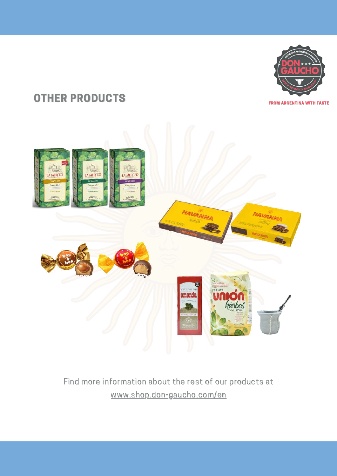

### OTHER PRODUCTS





### Find more information about the rest of our products at [www.shop.don-gaucho.com/en](https://shop.don-gaucho.com/en/)